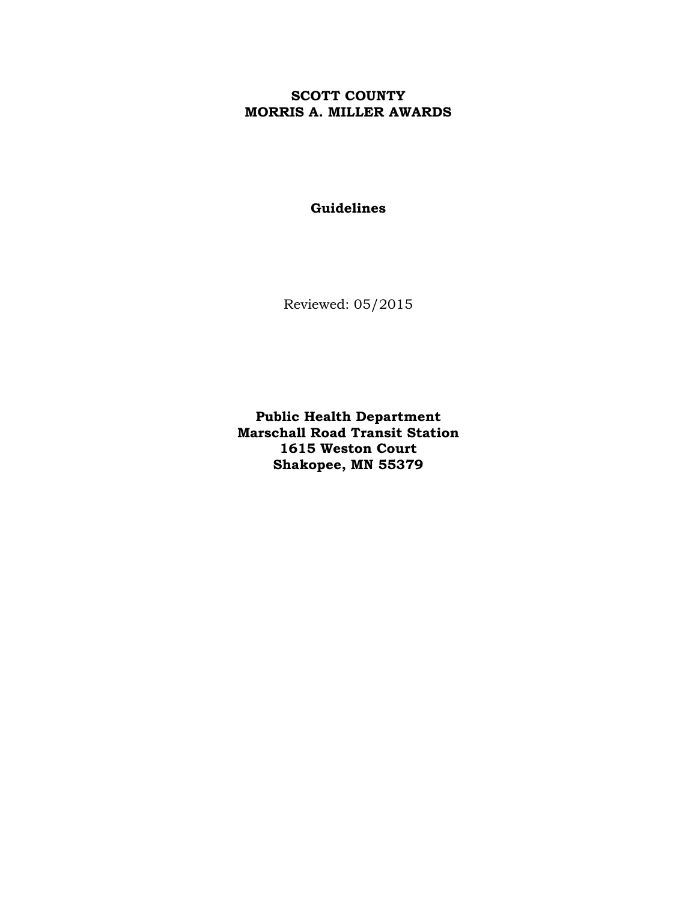# **SCOTT COUNTY MORRIS A. MILLER AWARDS**

# **Guidelines**

Reviewed: 05/2015

**Public Health Department Marschall Road Transit Station 1615 Weston Court Shakopee, MN 55379**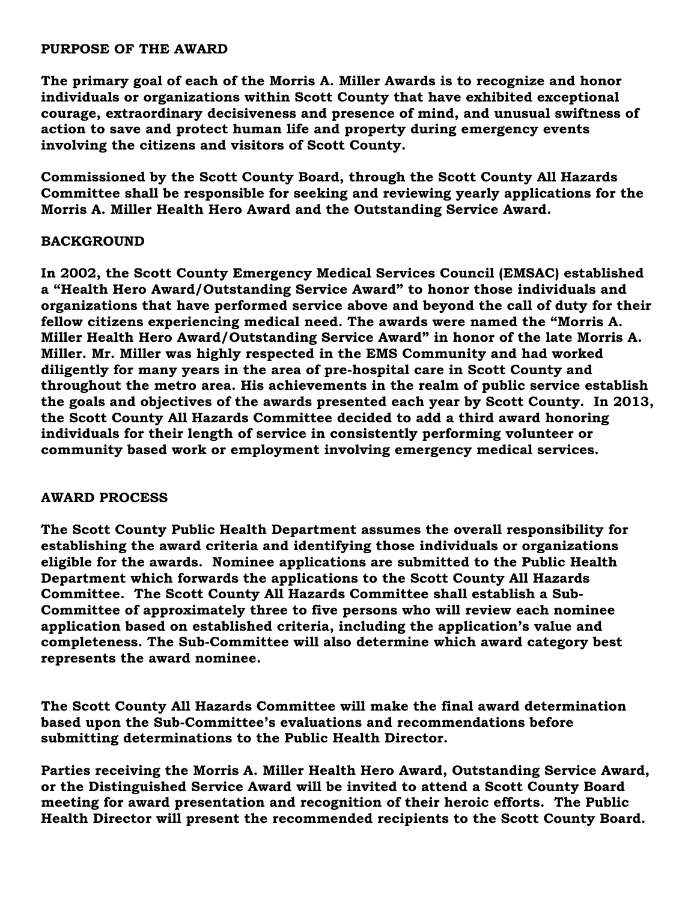#### **PURPOSE OF THE AWARD**

**The primary goal of each of the Morris A. Miller Awards is to recognize and honor individuals or organizations within Scott County that have exhibited exceptional courage, extraordinary decisiveness and presence of mind, and unusual swiftness of action to save and protect human life and property during emergency events involving the citizens and visitors of Scott County.** 

**Commissioned by the Scott County Board, through the Scott County All Hazards Committee shall be responsible for seeking and reviewing yearly applications for the Morris A. Miller Health Hero Award and the Outstanding Service Award.**

### **BACKGROUND**

**In 2002, the Scott County Emergency Medical Services Council (EMSAC) established a "Health Hero Award/Outstanding Service Award" to honor those individuals and organizations that have performed service above and beyond the call of duty for their fellow citizens experiencing medical need. The awards were named the "Morris A. Miller Health Hero Award/Outstanding Service Award" in honor of the late Morris A. Miller. Mr. Miller was highly respected in the EMS Community and had worked diligently for many years in the area of pre-hospital care in Scott County and throughout the metro area. His achievements in the realm of public service establish the goals and objectives of the awards presented each year by Scott County. In 2013, the Scott County All Hazards Committee decided to add a third award honoring individuals for their length of service in consistently performing volunteer or community based work or employment involving emergency medical services.** 

### **AWARD PROCESS**

**The Scott County Public Health Department assumes the overall responsibility for establishing the award criteria and identifying those individuals or organizations eligible for the awards. Nominee applications are submitted to the Public Health Department which forwards the applications to the Scott County All Hazards Committee. The Scott County All Hazards Committee shall establish a Sub-Committee of approximately three to five persons who will review each nominee application based on established criteria, including the application's value and completeness. The Sub-Committee will also determine which award category best represents the award nominee.**

**The Scott County All Hazards Committee will make the final award determination based upon the Sub-Committee's evaluations and recommendations before submitting determinations to the Public Health Director.**

**Parties receiving the Morris A. Miller Health Hero Award, Outstanding Service Award, or the Distinguished Service Award will be invited to attend a Scott County Board meeting for award presentation and recognition of their heroic efforts. The Public Health Director will present the recommended recipients to the Scott County Board.**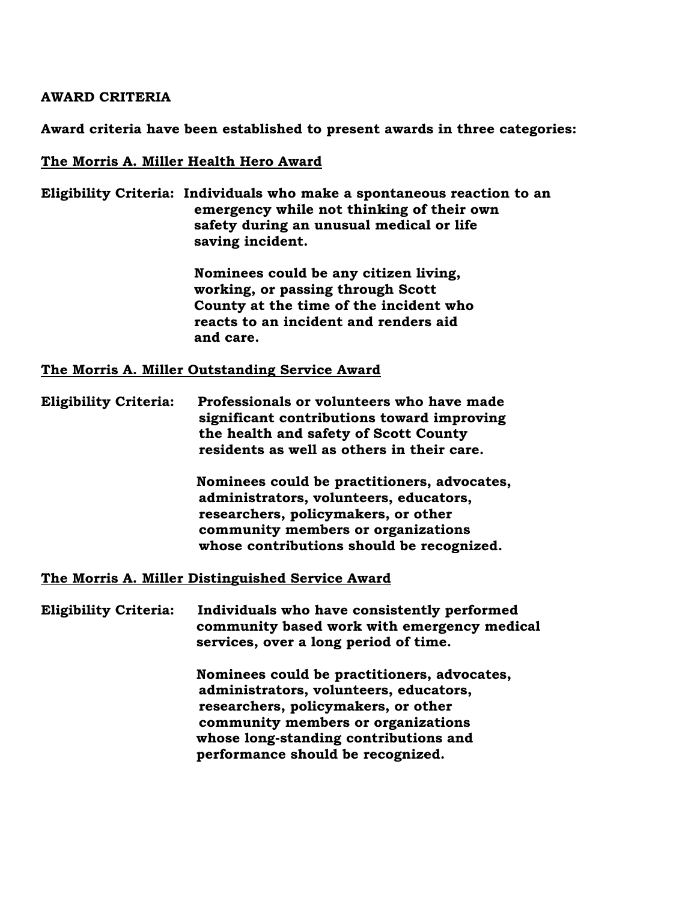#### **AWARD CRITERIA**

**Award criteria have been established to present awards in three categories:**

#### **The Morris A. Miller Health Hero Award**

**Eligibility Criteria: Individuals who make a spontaneous reaction to an emergency while not thinking of their own safety during an unusual medical or life saving incident.**

> **Nominees could be any citizen living, working, or passing through Scott County at the time of the incident who reacts to an incident and renders aid and care.**

**The Morris A. Miller Outstanding Service Award**

**Eligibility Criteria: Professionals or volunteers who have made significant contributions toward improving the health and safety of Scott County residents as well as others in their care.**

> **Nominees could be practitioners, advocates, administrators, volunteers, educators, researchers, policymakers, or other community members or organizations whose contributions should be recognized.**

**The Morris A. Miller Distinguished Service Award**

**Eligibility Criteria: Individuals who have consistently performed community based work with emergency medical services, over a long period of time.**

> **Nominees could be practitioners, advocates, administrators, volunteers, educators, researchers, policymakers, or other community members or organizations whose long-standing contributions and performance should be recognized.**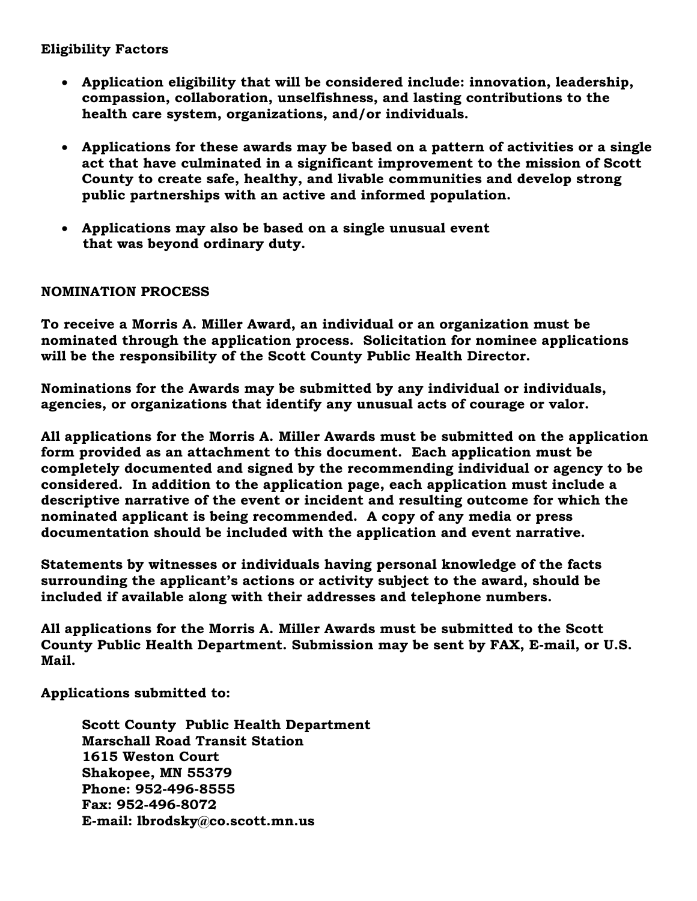### **Eligibility Factors**

- **Application eligibility that will be considered include: innovation, leadership, compassion, collaboration, unselfishness, and lasting contributions to the health care system, organizations, and/or individuals.**
- **Applications for these awards may be based on a pattern of activities or a single act that have culminated in a significant improvement to the mission of Scott County to create safe, healthy, and livable communities and develop strong public partnerships with an active and informed population.**
- **Applications may also be based on a single unusual event that was beyond ordinary duty.**

## **NOMINATION PROCESS**

**To receive a Morris A. Miller Award, an individual or an organization must be nominated through the application process. Solicitation for nominee applications will be the responsibility of the Scott County Public Health Director.**

**Nominations for the Awards may be submitted by any individual or individuals, agencies, or organizations that identify any unusual acts of courage or valor.**

**All applications for the Morris A. Miller Awards must be submitted on the application form provided as an attachment to this document. Each application must be completely documented and signed by the recommending individual or agency to be considered. In addition to the application page, each application must include a descriptive narrative of the event or incident and resulting outcome for which the nominated applicant is being recommended. A copy of any media or press documentation should be included with the application and event narrative.**

**Statements by witnesses or individuals having personal knowledge of the facts surrounding the applicant's actions or activity subject to the award, should be included if available along with their addresses and telephone numbers.**

**All applications for the Morris A. Miller Awards must be submitted to the Scott County Public Health Department. Submission may be sent by FAX, E-mail, or U.S. Mail.**

**Applications submitted to:**

 **Scott County Public Health Department Marschall Road Transit Station 1615 Weston Court Shakopee, MN 55379 Phone: 952-496-8555 Fax: 952-496-8072 E-mail: lbrodsky@co.scott.mn.us**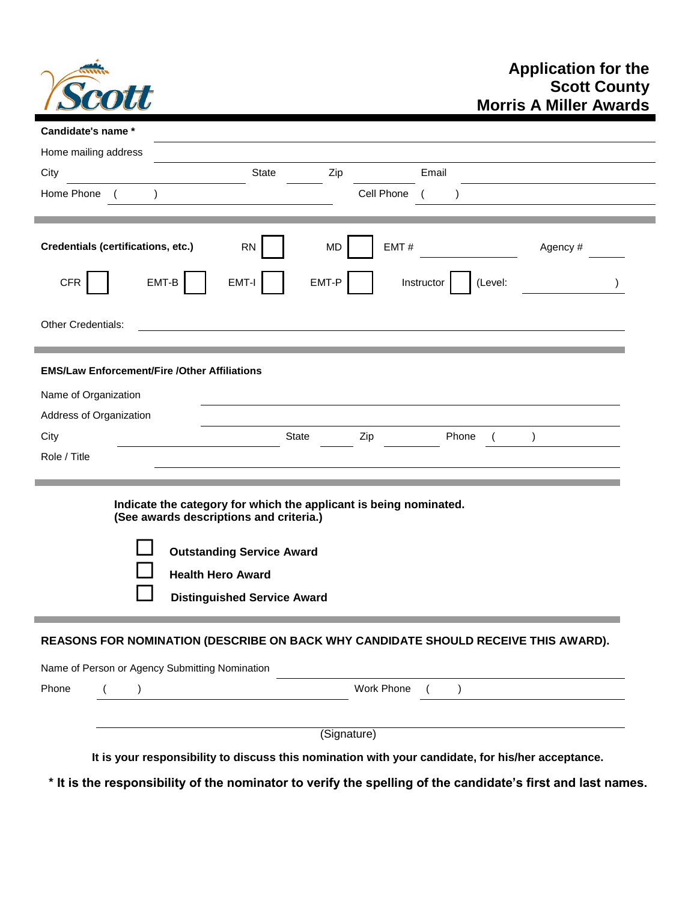

| City                                                                             | <b>State</b><br>Zip<br>Email                                                                                 |          |
|----------------------------------------------------------------------------------|--------------------------------------------------------------------------------------------------------------|----------|
| Home Phone                                                                       | Cell Phone                                                                                                   |          |
|                                                                                  |                                                                                                              |          |
| <b>Credentials (certifications, etc.)</b>                                        | EMT#<br><b>RN</b><br>MD                                                                                      | Agency # |
| EMT-B<br><b>CFR</b>                                                              | EMT-P<br>EMT-I<br>(Level:<br>Instructor                                                                      |          |
| Other Credentials:                                                               |                                                                                                              |          |
|                                                                                  |                                                                                                              |          |
| <b>EMS/Law Enforcement/Fire /Other Affiliations</b>                              |                                                                                                              |          |
| Name of Organization                                                             |                                                                                                              |          |
| Address of Organization<br>City                                                  | State<br>Phone                                                                                               |          |
|                                                                                  | Zip<br>$\mathcal{E}$<br>$\left($                                                                             |          |
|                                                                                  |                                                                                                              |          |
|                                                                                  |                                                                                                              |          |
|                                                                                  | Indicate the category for which the applicant is being nominated.<br>(See awards descriptions and criteria.) |          |
|                                                                                  |                                                                                                              |          |
|                                                                                  | <b>Outstanding Service Award</b>                                                                             |          |
|                                                                                  | <b>Health Hero Award</b>                                                                                     |          |
|                                                                                  | <b>Distinguished Service Award</b>                                                                           |          |
|                                                                                  |                                                                                                              |          |
|                                                                                  | REASONS FOR NOMINATION (DESCRIBE ON BACK WHY CANDIDATE SHOULD RECEIVE THIS AWARD).                           |          |
|                                                                                  |                                                                                                              |          |
| Role / Title<br>Name of Person or Agency Submitting Nomination<br>Phone<br>$($ ) |                                                                                                              |          |
|                                                                                  | Work Phone ( )                                                                                               |          |

**\* It is the responsibility of the nominator to verify the spelling of the candidate's first and last names.**